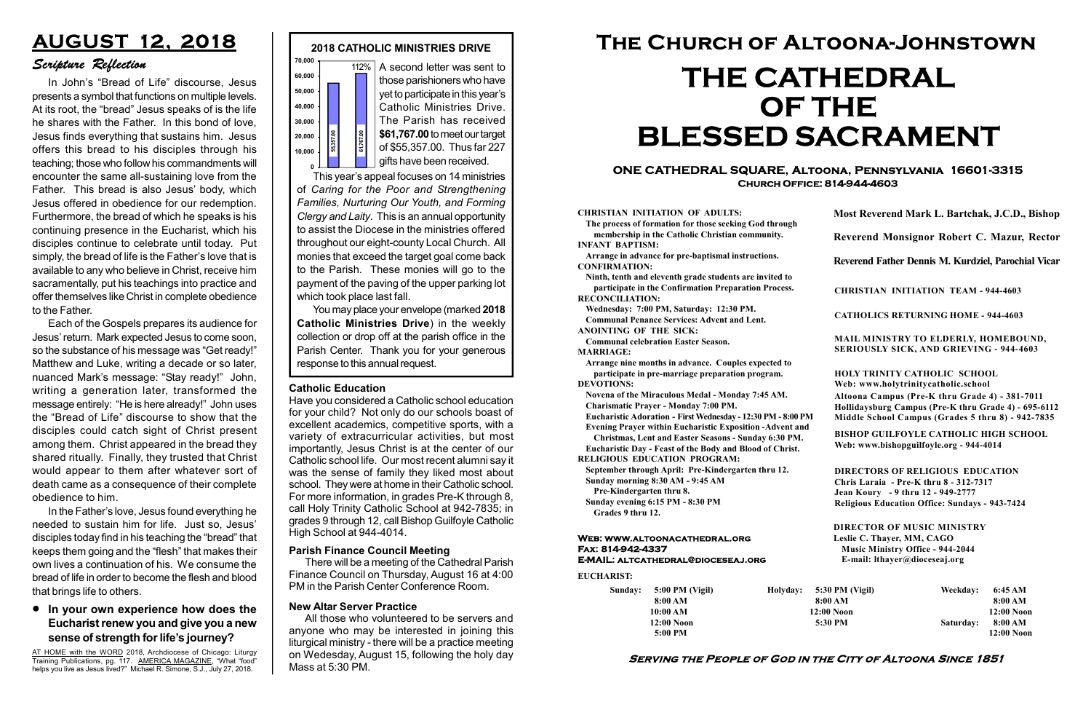#### Serving the People of God in the City of Altoona Since 1851

Sunday: 5:00 PM (Vigil) 8:00 AM 10:00 AM 12:00 Noon 5:00 PM

Holyday:

#### Web: www.altoonacathedral.org Fax: 814-942-4337 E-MAIL: altcathedral@dioceseaj.org

EUCHARIST:

#### CHRISTIAN INITIATION OF ADULTS:

The process of formation for those seeking God through membership in the Catholic Christian community. INFANT BAPTISM:

Arrange in advance for pre-baptismal instructions. CONFIRMATION:

Ninth, tenth and eleventh grade students are invited to participate in the Confirmation Preparation Process. RECONCILIATION:

Wednesday: 7:00 PM, Saturday: 12:30 PM. Communal Penance Services: Advent and Lent.

ANOINTING OF THE SICK:

Communal celebration Easter Season. MARRIAGE:

Arrange nine months in advance. Couples expected to participate in pre-marriage preparation program. DEVOTIONS:

Novena of the Miraculous Medal - Monday 7:45 AM.

Charismatic Prayer - Monday 7:00 PM. Eucharistic Adoration - First Wednesday - 12:30 PM - 8:00 PM

Evening Prayer within Eucharistic Exposition -Advent and

Christmas, Lent and Easter Seasons - Sunday 6:30 PM.

|                         | Most Reverend Mark L. Bartchak, J.C.D., Bishop                                                                                                                                  |           |                         |  |
|-------------------------|---------------------------------------------------------------------------------------------------------------------------------------------------------------------------------|-----------|-------------------------|--|
|                         | Reverend Monsignor Robert C. Mazur, Rector                                                                                                                                      |           |                         |  |
|                         | Reverend Father Dennis M. Kurdziel, Parochial Vicar                                                                                                                             |           |                         |  |
|                         | <b>CHRISTIAN INITIATION TEAM - 944-4603</b>                                                                                                                                     |           |                         |  |
|                         | <b>CATHOLICS RETURNING HOME - 944-4603</b>                                                                                                                                      |           |                         |  |
|                         | MAIL MINISTRY TO ELDERLY, HOMEBOUND,<br><b>SERIOUSLY SICK, AND GRIEVING - 944-4603</b>                                                                                          |           |                         |  |
|                         | <b>HOLY TRINITY CATHOLIC SCHOOL</b><br>Web: www.holytrinitycatholic.school                                                                                                      |           |                         |  |
| М                       | Altoona Campus (Pre-K thru Grade 4) - 381-7011<br>Hollidaysburg Campus (Pre-K thru Grade 4) - 695-6112<br>Middle School Campus (Grades 5 thru 8) - 942-7835                     |           |                         |  |
| ł                       | <b>BISHOP GUILFOYLE CATHOLIC HIGH SCHOOL</b><br>Web: www.bishopguilfoyle.org - 944-4014                                                                                         |           |                         |  |
|                         | <b>DIRECTORS OF RELIGIOUS EDUCATION</b><br>Chris Laraia - Pre-K thru 8 - 312-7317<br>Jean Koury - 9 thru 12 - 949-2777<br><b>Religious Education Office: Sundays - 943-7424</b> |           |                         |  |
|                         | <b>DIRECTOR OF MUSIC MINISTRY</b><br>Leslie C. Thayer, MM, CAGO<br><b>Music Ministry Office - 944-2044</b><br>E-mail: lthayer@dioceseaj.org                                     |           |                         |  |
|                         | 5:30 PM (Vigil)                                                                                                                                                                 | Weekday:  | 6:45 AM                 |  |
| 8:00 AM<br>$12:00$ Noon |                                                                                                                                                                                 |           | 8:00 AM<br>12:00 Noon   |  |
|                         | 5:30 PM                                                                                                                                                                         | Saturday: | 8:00 AM<br>$12:00$ Noon |  |
|                         |                                                                                                                                                                                 |           |                         |  |

Eucharistic Day - Feast of the Body and Blood of Christ. RELIGIOUS EDUCATION PROGRAM:



This year's appeal focuses on 14 ministries of Caring for the Poor and Strengthening Families, Nurturing Our Youth, and Forming Clergy and Laity. This is an annual opportunity to assist the Diocese in the ministries offered throughout our eight-county Local Church. All monies that exceed the target goal come back to the Parish. These monies will go to the payment of the paving of the upper parking lot which took place last fall. response to this annual request.<br>
Fig. 361,767.00 to meet our target<br>
of \$55,357.00. Thus far 227<br>
gifts have been received.<br>
This year's appeal focuses on 14 ministries<br>
of Caring for the Poor and Strengthening<br>
Families

> September through April: Pre-Kindergarten thru 12. Sunday morning 8:30 AM - 9:45 AM

Pre-Kindergarten thru 8.

Sunday evening 6:15 PM - 8:30 PM Grades 9 thru 12.

#### **.** In your own experience how does the Eucharist renew you and give you a new sense of strength for life's journey?

#### ONE CATHEDRAL SQUARE, Altoona, Pennsylvania 16601-3315 Church Office: 814-944-4603

# The Church of Altoona-Johnstown THE CATHEDRAL OF THE BLESSED SACRAMENT

You may place your envelope (marked 2018 Catholic Ministries Drive) in the weekly collection or drop off at the parish office in the Parish Center. Thank you for your generous

#### Catholic Education

Have you considered a Catholic school education for your child? Not only do our schools boast of excellent academics, competitive sports, with a variety of extracurricular activities, but most importantly, Jesus Christ is at the center of our Catholic school life. Our most recent alumni say it was the sense of family they liked most about school. They were at home in their Catholic school. For more information, in grades Pre-K through 8, call Holy Trinity Catholic School at 942-7835; in grades 9 through 12, call Bishop Guilfoyle Catholic High School at 944-4014.

## AUGUST 12, 2018

### Scripture Reflection

In John's "Bread of Life" discourse, Jesus presents a symbol that functions on multiple levels. At its root, the "bread" Jesus speaks of is the life he shares with the Father. In this bond of love, Jesus finds everything that sustains him. Jesus offers this bread to his disciples through his teaching; those who follow his commandments will encounter the same all-sustaining love from the Father. This bread is also Jesus' body, which Jesus offered in obedience for our redemption. Furthermore, the bread of which he speaks is his continuing presence in the Eucharist, which his disciples continue to celebrate until today. Put simply, the bread of life is the Father's love that is available to any who believe in Christ, receive him sacramentally, put his teachings into practice and offer themselves like Christ in complete obedience to the Father.

Each of the Gospels prepares its audience for Jesus' return. Mark expected Jesus to come soon, so the substance of his message was "Get ready!" Matthew and Luke, writing a decade or so later, nuanced Mark's message: "Stay ready!" John, writing a generation later, transformed the message entirely: "He is here already!" John uses the "Bread of Life" discourse to show that the disciples could catch sight of Christ present among them. Christ appeared in the bread they shared ritually. Finally, they trusted that Christ would appear to them after whatever sort of death came as a consequence of their complete obedience to him.

In the Father's love, Jesus found everything he needed to sustain him for life. Just so, Jesus' disciples today find in his teaching the "bread" that keeps them going and the "flesh" that makes their own lives a continuation of his. We consume the bread of life in order to become the flesh and blood that brings life to others.

AT HOME with the WORD 2018, Archdiocese of Chicago: Liturgy Training Publications, pg. 117. AMERICA MAGAZINE, "What "food" helps you live as Jesus lived?" Michael R. Simone, S.J., July 27, 2018.

#### New Altar Server Practice

All those who volunteered to be servers and anyone who may be interested in joining this liturgical ministry - there will be a practice meeting on Wedesday, August 15, following the holy day Mass at 5:30 PM.

#### Parish Finance Council Meeting

There will be a meeting of the Cathedral Parish Finance Council on Thursday, August 16 at 4:00 PM in the Parish Center Conference Room.